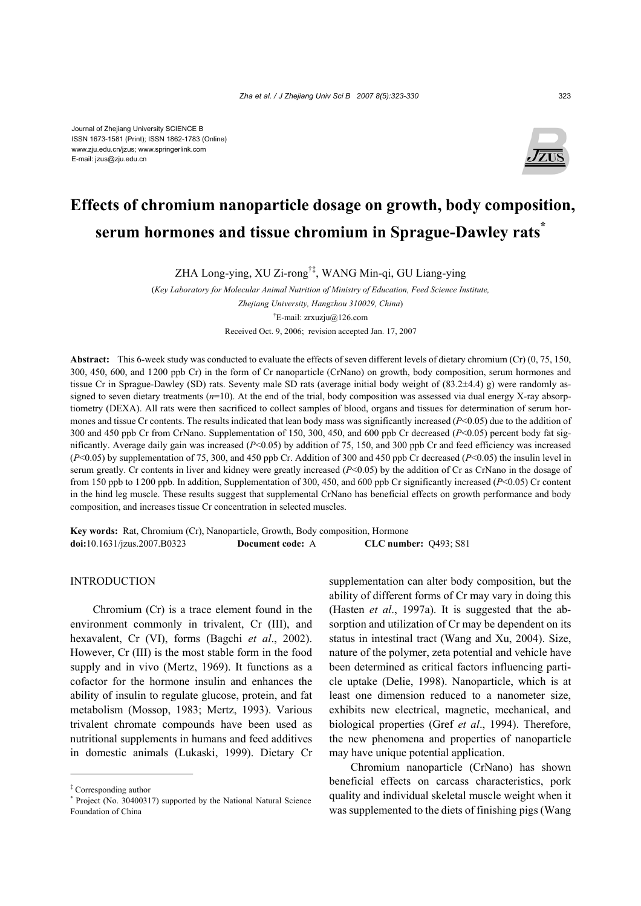

# **Effects of chromium nanoparticle dosage on growth, body composition, serum hormones and tissue chromium in Sprague-Dawley rats\***

ZHA Long-ying, XU Zi-rong†‡, WANG Min-qi, GU Liang-ying

(*Key Laboratory for Molecular Animal Nutrition of Ministry of Education, Feed Science Institute, Zhejiang University, Hangzhou 310029, China*) † E-mail: zrxuzju@126.com Received Oct. 9, 2006; revision accepted Jan. 17, 2007

**Abstract:** This 6-week study was conducted to evaluate the effects of seven different levels of dietary chromium (Cr) (0, 75, 150, 300, 450, 600, and 1200 ppb Cr) in the form of Cr nanoparticle (CrNano) on growth, body composition, serum hormones and tissue Cr in Sprague-Dawley (SD) rats. Seventy male SD rats (average initial body weight of (83.2±4.4) g) were randomly assigned to seven dietary treatments ( $n=10$ ). At the end of the trial, body composition was assessed via dual energy X-ray absorptiometry (DEXA). All rats were then sacrificed to collect samples of blood, organs and tissues for determination of serum hormones and tissue Cr contents. The results indicated that lean body mass was significantly increased (*P*<0.05) due to the addition of 300 and 450 ppb Cr from CrNano. Supplementation of 150, 300, 450, and 600 ppb Cr decreased (*P*<0.05) percent body fat significantly. Average daily gain was increased (*P*<0.05) by addition of 75, 150, and 300 ppb Cr and feed efficiency was increased (*P*<0.05) by supplementation of 75, 300, and 450 ppb Cr. Addition of 300 and 450 ppb Cr decreased (*P*<0.05) the insulin level in serum greatly. Cr contents in liver and kidney were greatly increased (*P*<0.05) by the addition of Cr as CrNano in the dosage of from 150 ppb to 1200 ppb. In addition, Supplementation of 300, 450, and 600 ppb Cr significantly increased (*P*<0.05) Cr content in the hind leg muscle. These results suggest that supplemental CrNano has beneficial effects on growth performance and body composition, and increases tissue Cr concentration in selected muscles.

**Key words:** Rat, Chromium (Cr), Nanoparticle, Growth, Body composition, Hormone **doi:**10.1631/jzus.2007.B0323 **Document code:** A **CLC number:** Q493; S81

## **INTRODUCTION**

Chromium (Cr) is a trace element found in the environment commonly in trivalent, Cr (III), and hexavalent, Cr (VI), forms (Bagchi *et al*., 2002). However, Cr (III) is the most stable form in the food supply and in vivo (Mertz, 1969). It functions as a cofactor for the hormone insulin and enhances the ability of insulin to regulate glucose, protein, and fat metabolism (Mossop, 1983; Mertz, 1993). Various trivalent chromate compounds have been used as nutritional supplements in humans and feed additives in domestic animals (Lukaski, 1999). Dietary Cr supplementation can alter body composition, but the ability of different forms of Cr may vary in doing this (Hasten *et al*., 1997a). It is suggested that the absorption and utilization of Cr may be dependent on its status in intestinal tract (Wang and Xu, 2004). Size, nature of the polymer, zeta potential and vehicle have been determined as critical factors influencing particle uptake (Delie, 1998). Nanoparticle, which is at least one dimension reduced to a nanometer size, exhibits new electrical, magnetic, mechanical, and biological properties (Gref *et al*., 1994). Therefore, the new phenomena and properties of nanoparticle may have unique potential application.

Chromium nanoparticle (CrNano) has shown beneficial effects on carcass characteristics, pork quality and individual skeletal muscle weight when it was supplemented to the diets of finishing pigs (Wang

<sup>‡</sup> Corresponding author

<sup>\*</sup> Project (No. 30400317) supported by the National Natural Science Foundation of China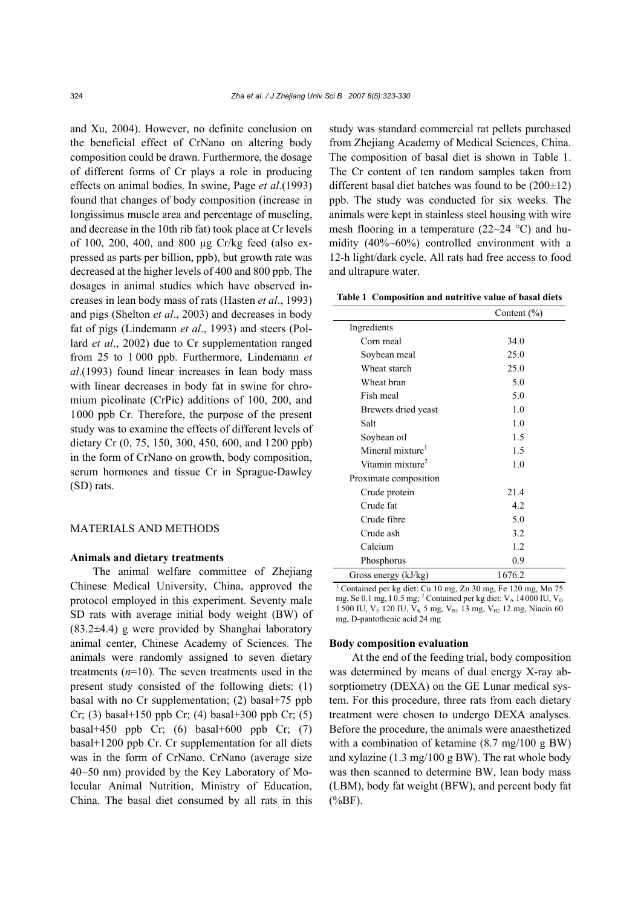and Xu, 2004). However, no definite conclusion on the beneficial effect of CrNano on altering body composition could be drawn. Furthermore, the dosage of different forms of Cr plays a role in producing effects on animal bodies. In swine, Page *et al*.(1993) found that changes of body composition (increase in longissimus muscle area and percentage of muscling, and decrease in the 10th rib fat) took place at Cr levels of 100, 200, 400, and 800 µg Cr/kg feed (also expressed as parts per billion, ppb), but growth rate was decreased at the higher levels of 400 and 800 ppb. The dosages in animal studies which have observed increases in lean body mass of rats (Hasten *et al*., 1993) and pigs (Shelton *et al*., 2003) and decreases in body fat of pigs (Lindemann *et al*., 1993) and steers (Pollard *et al*., 2002) due to Cr supplementation ranged from 25 to 1 000 ppb. Furthermore, Lindemann *et al*.(1993) found linear increases in lean body mass with linear decreases in body fat in swine for chromium picolinate (CrPic) additions of 100, 200, and 1000 ppb Cr. Therefore, the purpose of the present study was to examine the effects of different levels of dietary Cr (0, 75, 150, 300, 450, 600, and 1200 ppb) in the form of CrNano on growth, body composition, serum hormones and tissue Cr in Sprague-Dawley (SD) rats.

## MATERIALS AND METHODS

#### **Animals and dietary treatments**

The animal welfare committee of Zhejiang Chinese Medical University, China, approved the protocol employed in this experiment. Seventy male SD rats with average initial body weight (BW) of (83.2±4.4) g were provided by Shanghai laboratory animal center, Chinese Academy of Sciences. The animals were randomly assigned to seven dietary treatments (*n*=10). The seven treatments used in the present study consisted of the following diets: (1) basal with no Cr supplementation; (2) basal+75 ppb  $Cr$ ; (3) basal+150 ppb  $Cr$ ; (4) basal+300 ppb  $Cr$ ; (5) basal+450 ppb Cr;  $(6)$  basal+600 ppb Cr;  $(7)$ basal+1200 ppb Cr. Cr supplementation for all diets was in the form of CrNano. CrNano (average size 40~50 nm) provided by the Key Laboratory of Molecular Animal Nutrition, Ministry of Education, China. The basal diet consumed by all rats in this

study was standard commercial rat pellets purchased from Zhejiang Academy of Medical Sciences, China. The composition of basal diet is shown in Table 1. The Cr content of ten random samples taken from different basal diet batches was found to be  $(200\pm12)$ ppb. The study was conducted for six weeks. The animals were kept in stainless steel housing with wire mesh flooring in a temperature (22~24 °C) and humidity (40%~60%) controlled environment with a 12-h light/dark cycle. All rats had free access to food and ultrapure water.

**Table 1 Composition and nutritive value of basal diets** 

|                              | Content $(\% )$ |
|------------------------------|-----------------|
| Ingredients                  |                 |
| Corn meal                    | 34.0            |
| Soybean meal                 | 25.0            |
| Wheat starch                 | 25.0            |
| Wheat bran                   | 5.0             |
| Fish meal                    | 5.0             |
| Brewers dried yeast          | 1.0             |
| Salt                         | 1.0             |
| Soybean oil                  | 1.5             |
| Mineral mixture <sup>1</sup> | 1.5             |
| Vitamin mixture <sup>2</sup> | 1.0             |
| Proximate composition        |                 |
| Crude protein                | 21.4            |
| Crude fat                    | 4.2             |
| Crude fibre                  | 5.0             |
| Crude ash                    | 3.2             |
| Calcium                      | 1.2             |
| Phosphorus                   | 0.9             |
| Gross energy (kJ/kg)         | 1676.2          |

<sup>1</sup> Contained per kg diet: Cu 10 mg, Zn 30 mg, Fe 120 mg, Mn 75 mg, Se 0.1 mg, I 0.5 mg; <sup>2</sup> Contained per kg diet:  $V_A$  14000 IU,  $V_D$ 1500 IU,  $V_E$  120 IU,  $V_K$  5 mg,  $V_{B1}$  13 mg,  $V_{B2}$  12 mg, Niacin 60 mg, D-pantothenic acid 24 mg

#### **Body composition evaluation**

At the end of the feeding trial, body composition was determined by means of dual energy X-ray absorptiometry (DEXA) on the GE Lunar medical system. For this procedure, three rats from each dietary treatment were chosen to undergo DEXA analyses. Before the procedure, the animals were anaesthetized with a combination of ketamine (8.7 mg/100 g BW) and xylazine (1.3 mg/100 g BW). The rat whole body was then scanned to determine BW, lean body mass (LBM), body fat weight (BFW), and percent body fat  $(^{0}/_{0}BF)$ .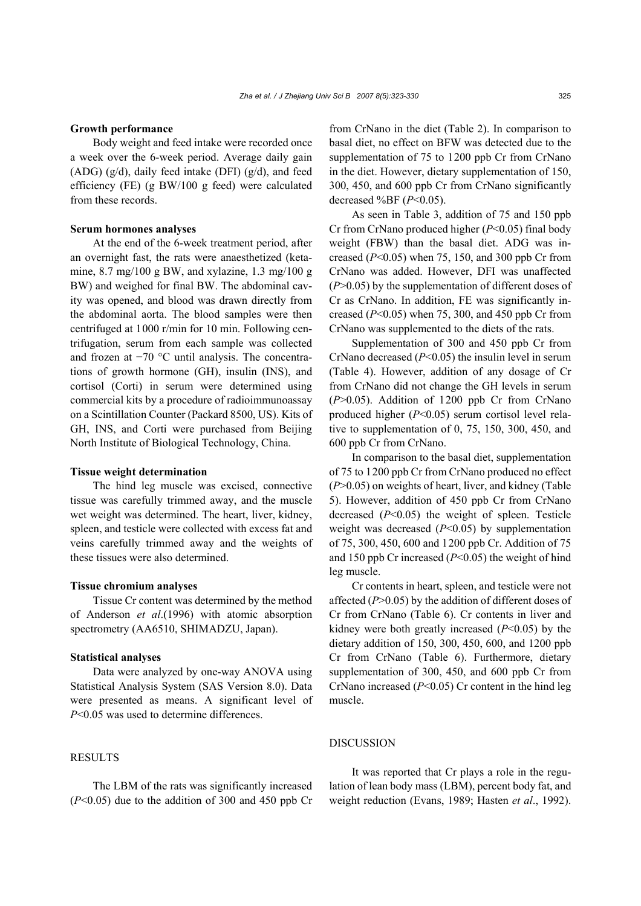#### **Growth performance**

Body weight and feed intake were recorded once a week over the 6-week period. Average daily gain (ADG) (g/d), daily feed intake (DFI) (g/d), and feed efficiency (FE) (g BW/100 g feed) were calculated from these records.

#### **Serum hormones analyses**

At the end of the 6-week treatment period, after an overnight fast, the rats were anaesthetized (ketamine, 8.7 mg/100 g BW, and xylazine, 1.3 mg/100 g BW) and weighed for final BW. The abdominal cavity was opened, and blood was drawn directly from the abdominal aorta. The blood samples were then centrifuged at 1000 r/min for 10 min. Following centrifugation, serum from each sample was collected and frozen at −70 °C until analysis. The concentrations of growth hormone (GH), insulin (INS), and cortisol (Corti) in serum were determined using commercial kits by a procedure of radioimmunoassay on a Scintillation Counter (Packard 8500, US). Kits of GH, INS, and Corti were purchased from Beijing North Institute of Biological Technology, China.

#### **Tissue weight determination**

The hind leg muscle was excised, connective tissue was carefully trimmed away, and the muscle wet weight was determined. The heart, liver, kidney, spleen, and testicle were collected with excess fat and veins carefully trimmed away and the weights of these tissues were also determined.

## **Tissue chromium analyses**

Tissue Cr content was determined by the method of Anderson *et al*.(1996) with atomic absorption spectrometry (AA6510, SHIMADZU, Japan).

#### **Statistical analyses**

Data were analyzed by one-way ANOVA using Statistical Analysis System (SAS Version 8.0). Data were presented as means. A significant level of *P*<0.05 was used to determine differences.

## RESULTS

The LBM of the rats was significantly increased  $(P<0.05)$  due to the addition of 300 and 450 ppb Cr from CrNano in the diet (Table 2). In comparison to basal diet, no effect on BFW was detected due to the supplementation of 75 to 1200 ppb Cr from CrNano in the diet. However, dietary supplementation of 150, 300, 450, and 600 ppb Cr from CrNano significantly decreased %BF (*P*<0.05).

As seen in Table 3, addition of 75 and 150 ppb Cr from CrNano produced higher (*P*<0.05) final body weight (FBW) than the basal diet. ADG was increased (*P*<0.05) when 75, 150, and 300 ppb Cr from CrNano was added. However, DFI was unaffected (*P*>0.05) by the supplementation of different doses of Cr as CrNano. In addition, FE was significantly increased  $(P<0.05)$  when 75, 300, and 450 ppb Cr from CrNano was supplemented to the diets of the rats.

Supplementation of 300 and 450 ppb Cr from CrNano decreased (*P*<0.05) the insulin level in serum (Table 4). However, addition of any dosage of Cr from CrNano did not change the GH levels in serum (*P*>0.05). Addition of 1200 ppb Cr from CrNano produced higher (*P*<0.05) serum cortisol level relative to supplementation of 0, 75, 150, 300, 450, and 600 ppb Cr from CrNano.

In comparison to the basal diet, supplementation of 75 to 1200 ppb Cr from CrNano produced no effect (*P*>0.05) on weights of heart, liver, and kidney (Table 5). However, addition of 450 ppb Cr from CrNano decreased (*P*<0.05) the weight of spleen. Testicle weight was decreased (*P*<0.05) by supplementation of 75, 300, 450, 600 and 1200 ppb Cr. Addition of 75 and 150 ppb Cr increased (*P*<0.05) the weight of hind leg muscle.

Cr contents in heart, spleen, and testicle were not affected (*P*>0.05) by the addition of different doses of Cr from CrNano (Table 6). Cr contents in liver and kidney were both greatly increased (*P*<0.05) by the dietary addition of 150, 300, 450, 600, and 1200 ppb Cr from CrNano (Table 6). Furthermore, dietary supplementation of 300, 450, and 600 ppb Cr from CrNano increased (*P*<0.05) Cr content in the hind leg muscle.

## DISCUSSION

It was reported that Cr plays a role in the regulation of lean body mass (LBM), percent body fat, and weight reduction (Evans, 1989; Hasten *et al*., 1992).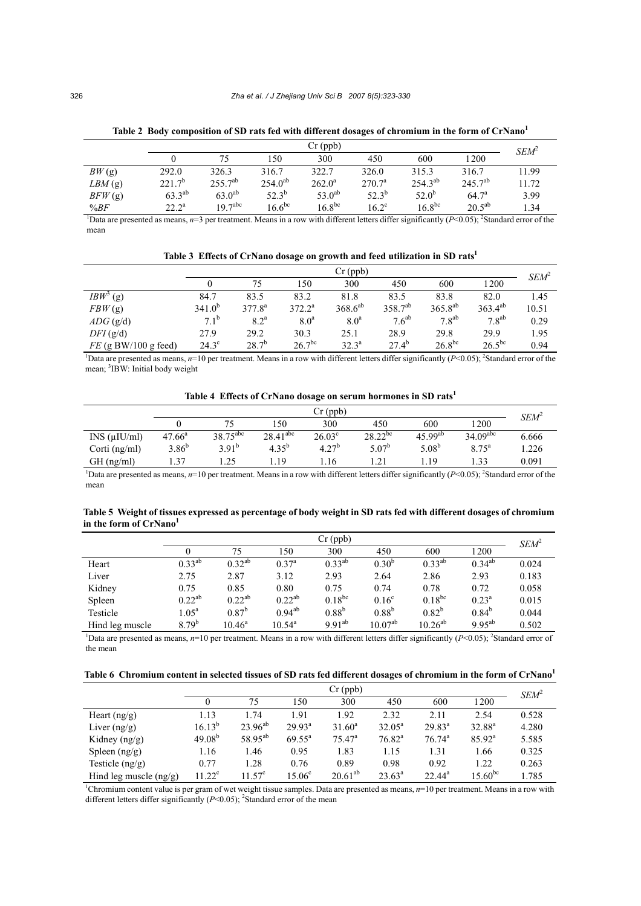|                                                                                                                                                               | $Cr$ (ppb)     |                      |              |             |                 |                   |                   |                  |
|---------------------------------------------------------------------------------------------------------------------------------------------------------------|----------------|----------------------|--------------|-------------|-----------------|-------------------|-------------------|------------------|
|                                                                                                                                                               |                | 75                   | 150          | 300         | 450             | 600               | 1200              | SEM <sup>2</sup> |
| BW(g)                                                                                                                                                         | 292.0          | 326.3                | 316.7        | 322.7       | 326.0           | 315.3             | 316.7             | 11.99            |
| $LBM$ (g)                                                                                                                                                     | $221.7^{b}$    | $255.7^{ab}$         | $254.0^{ab}$ | $262.0^a$   | $270.7^{\rm a}$ | $254.3^{ab}$      | $245.7^{ab}$      | 11.72            |
| BFW(g)                                                                                                                                                        | $63.3^{ab}$    | $63.0^{ab}$          | $52.3^{b}$   | $53.0^{ab}$ | $52.3^{b}$      | 52.0 <sup>b</sup> | 64.7 <sup>a</sup> | 3.99             |
| %BF                                                                                                                                                           | $22.2^{\circ}$ | $197$ <sup>abc</sup> | $16.6^{bc}$  | $16.8^{bc}$ | $16.2^{\circ}$  | $16.8^{bc}$       | $20.5^{ab}$       | 1.34             |
| Data are presented as means, $n=3$ per treatment. Means in a row with different letters differ significantly ( $P<0.05$ ); <sup>2</sup> Standard error of the |                |                      |              |             |                 |                   |                   |                  |

**Table 2 Body composition of SD rats fed with different dosages of chromium in the form of CrNano1** 

mean

| Table 3 Effects of CrNano dosage on growth and feed utilization in SD rats <sup>1</sup> |  |  |
|-----------------------------------------------------------------------------------------|--|--|
|                                                                                         |  |  |

|                        | $Cr$ (ppb)    |                    |                    |                  |                     |              |                   | SEM <sup>2</sup> |
|------------------------|---------------|--------------------|--------------------|------------------|---------------------|--------------|-------------------|------------------|
|                        |               | 75                 | 150                | 300              | 450                 | 600          | 1200              |                  |
| $IBW^3$<br>(g)         | 84.7          | 83.5               | 83.2               | 81.8             | 83.5                | 83.8         | 82.0              | 1.45             |
| FBW(g)                 | $341.0^{b}$   | $377.8^{a}$        | $372.2^a$          | $368.6^{ab}$     | 358.7 <sup>ab</sup> | $365.8^{ab}$ | $363.4^{ab}$      | 10.51            |
| $ADG$ (g/d)            | $7.1^{\rm b}$ | $8.2^{\mathrm{a}}$ | 8.0 <sup>a</sup>   | 8.0 <sup>a</sup> | 7.6 <sup>ab</sup>   | $7.8^{ab}$   | 7.8 <sup>ab</sup> | 0.29             |
| DFI(g/d)               | 27.9          | 29.2               | 30.3               | 25.1             | 28.9                | 29.8         | 29.9              | 1.95             |
| $FE$ (g BW/100 g feed) | $24.3^\circ$  | $28.7^{b}$         | 26.7 <sup>bc</sup> | $32.3^{\circ}$   | $27.4^{b}$          | $26.8^{bc}$  | $26.5^{bc}$       | 0.94             |

<sup>1</sup>Data are presented as means,  $n=10$  per treatment. Means in a row with different letters differ significantly ( $P<0.05$ ); <sup>2</sup>Standard error of the mean; <sup>3</sup>IBW: Initial body weight

**Table 4 Effects of CrNano dosage on serum hormones in SD rats1**

|                 |                                                                                                                                                                             |                      |               | $Cr$ (ppb)        |                   |              |                        | SEM <sup>2</sup> |  |  |
|-----------------|-----------------------------------------------------------------------------------------------------------------------------------------------------------------------------|----------------------|---------------|-------------------|-------------------|--------------|------------------------|------------------|--|--|
|                 |                                                                                                                                                                             |                      | 150           | 300               | 450               | 600          | 1 200                  |                  |  |  |
| INS (uIU/ml)    | $47.66^{\circ}$                                                                                                                                                             | $38.75^{\text{abc}}$ | $28.41^{abc}$ | $26.03^{\circ}$   | $28.22^{bc}$      | $45.99^{ab}$ | $34.09$ <sup>abc</sup> | 6.666            |  |  |
| Corti $(ng/ml)$ | $3.86^{b}$                                                                                                                                                                  | $3.91^{b}$           | $4.35^{b}$    | 4.27 <sup>b</sup> | 5.07 <sup>b</sup> | $5.08^{b}$   | $8.75^{\rm a}$         | 1.226            |  |  |
| $GH$ (ng/ml)    | 37 ،                                                                                                                                                                        | 1.25                 | - 19          | l.16              | 1.21              | - 19         | $\frac{33}{2}$         | 0.091            |  |  |
|                 | <sup>1</sup> Data are presented as means, $n=10$ per treatment. Means in a row with different letters differ significantly ( $P<0.05$ ); <sup>2</sup> Standard error of the |                      |               |                   |                   |              |                        |                  |  |  |

mean

| Table 5 Weight of tissues expressed as percentage of body weight in SD rats fed with different dosages of chromium |  |
|--------------------------------------------------------------------------------------------------------------------|--|
| in the form of CrNano <sup>1</sup>                                                                                 |  |

|                                                                                                                                                                         | $Cr$ (ppb)        |                 |                 |             |                   |              |                | $SEM^2$ |
|-------------------------------------------------------------------------------------------------------------------------------------------------------------------------|-------------------|-----------------|-----------------|-------------|-------------------|--------------|----------------|---------|
|                                                                                                                                                                         |                   | 75              | 150             | 300         | 450               | 600          | 1200           |         |
| Heart                                                                                                                                                                   | $0.33^{ab}$       | $0.32^{ab}$     | $0.37^{\rm a}$  | $0.33^{ab}$ | $0.30^{b}$        | $0.33^{ab}$  | $0.34^{ab}$    | 0.024   |
| Liver                                                                                                                                                                   | 2.75              | 2.87            | 3.12            | 2.93        | 2.64              | 2.86         | 2.93           | 0.183   |
| Kidney                                                                                                                                                                  | 0.75              | 0.85            | 0.80            | 0.75        | 0.74              | 0.78         | 0.72           | 0.058   |
| Spleen                                                                                                                                                                  | $0.22^{ab}$       | $0.22^{ab}$     | $0.22^{ab}$     | $0.18^{bc}$ | 0.16 <sup>c</sup> | $0.18^{bc}$  | $0.23^{\rm a}$ | 0.015   |
| Testicle                                                                                                                                                                | $1.05^{\text{a}}$ | $0.87^{b}$      | $0.94^{ab}$     | $0.88^{b}$  | $0.88^{b}$        | $0.82^{b}$   | $0.84^{b}$     | 0.044   |
| Hind leg muscle                                                                                                                                                         | $8.79^{b}$        | $10.46^{\rm a}$ | $10.54^{\circ}$ | $9.91^{ab}$ | $10.07^{ab}$      | $10.26^{ab}$ | $9.95^{ab}$    | 0.502   |
| <sup>1</sup> Data are presented as means, $n=10$ per treatment. Means in a row with different letters differ significantly ( $P<0.05$ ); <sup>2</sup> Standard error of |                   |                 |                 |             |                   |              |                |         |

the mean

|  | Table 6 Chromium content in selected tissues of SD rats fed different dosages of chromium in the form of CrNano <sup>1</sup> |  |  |  |  |
|--|------------------------------------------------------------------------------------------------------------------------------|--|--|--|--|
|  |                                                                                                                              |  |  |  |  |

|                                                                                                                                                      | $Cr$ (ppb)      |                     |                    |                 |                 |           |                 | $SEM^2$ |
|------------------------------------------------------------------------------------------------------------------------------------------------------|-----------------|---------------------|--------------------|-----------------|-----------------|-----------|-----------------|---------|
|                                                                                                                                                      | $_{0}$          | 75                  | 150                | 300             | 450             | 600       | 1200            |         |
| Heart $(ng/g)$                                                                                                                                       | 1.13            | 1.74                | 1.91               | 1.92            | 2.32            | 2.11      | 2.54            | 0.528   |
| Liver $(ng/g)$                                                                                                                                       | $16.13^{b}$     | $23.96^{ab}$        | $29.93^a$          | $31.60^a$       | $32.05^{\circ}$ | $29.83^a$ | $32.88^{a}$     | 4.280   |
| Kidney $(ng/g)$                                                                                                                                      | $49.08^{b}$     | 58.95 <sup>ab</sup> | $69.55^{\text{a}}$ | $75.47^{\rm a}$ | $76.82^{\rm a}$ | $76.74^a$ | $85.92^{\rm a}$ | 5.585   |
| Spleen $\left(\frac{ng}{g}\right)$                                                                                                                   | 1.16            | 1.46                | 0.95               | 1.83            | 1.15            | 1.31      | 1.66            | 0.325   |
| Testicle $(ng/g)$                                                                                                                                    | 0.77            | 1.28                | 0.76               | 0.89            | 0.98            | 0.92      | 1.22            | 0.263   |
| Hind leg muscle $(ng/g)$                                                                                                                             | $11.22^{\circ}$ | $11.57^{\circ}$     | 15.06 <sup>c</sup> | $20.61^{ab}$    | $23.63^{\circ}$ | $22.44^a$ | $15.60^{bc}$    | 1.785   |
| <sup>1</sup> Chromium content value is per gram of wet weight tissue samples. Data are presented as means, $n=10$ per treatment. Means in a row with |                 |                     |                    |                 |                 |           |                 |         |

different letters differ significantly  $(P<0.05)$ ; <sup>2</sup>Standard error of the mean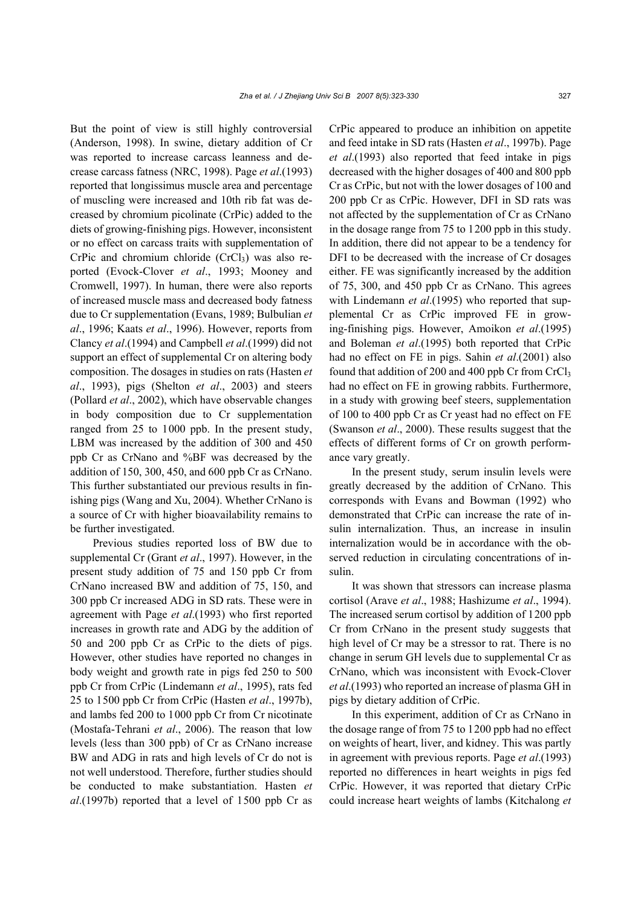But the point of view is still highly controversial (Anderson, 1998). In swine, dietary addition of Cr was reported to increase carcass leanness and decrease carcass fatness (NRC, 1998). Page *et al*.(1993) reported that longissimus muscle area and percentage of muscling were increased and 10th rib fat was decreased by chromium picolinate (CrPic) added to the diets of growing-finishing pigs. However, inconsistent or no effect on carcass traits with supplementation of CrPic and chromium chloride  $(CrCl<sub>3</sub>)$  was also reported (Evock-Clover *et al*., 1993; Mooney and Cromwell, 1997). In human, there were also reports of increased muscle mass and decreased body fatness due to Cr supplementation (Evans, 1989; Bulbulian *et al*., 1996; Kaats *et al*., 1996). However, reports from Clancy *et al*.(1994) and Campbell *et al*.(1999) did not support an effect of supplemental Cr on altering body composition. The dosages in studies on rats (Hasten *et al*., 1993), pigs (Shelton *et al*., 2003) and steers (Pollard *et al*., 2002), which have observable changes in body composition due to Cr supplementation ranged from 25 to 1000 ppb. In the present study, LBM was increased by the addition of 300 and 450 ppb Cr as CrNano and %BF was decreased by the addition of 150, 300, 450, and 600 ppb Cr as CrNano. This further substantiated our previous results in finishing pigs (Wang and Xu, 2004). Whether CrNano is a source of Cr with higher bioavailability remains to be further investigated.

Previous studies reported loss of BW due to supplemental Cr (Grant *et al*., 1997). However, in the present study addition of 75 and 150 ppb Cr from CrNano increased BW and addition of 75, 150, and 300 ppb Cr increased ADG in SD rats. These were in agreement with Page *et al*.(1993) who first reported increases in growth rate and ADG by the addition of 50 and 200 ppb Cr as CrPic to the diets of pigs. However, other studies have reported no changes in body weight and growth rate in pigs fed 250 to 500 ppb Cr from CrPic (Lindemann *et al*., 1995), rats fed 25 to 1500 ppb Cr from CrPic (Hasten *et al*., 1997b), and lambs fed 200 to 1000 ppb Cr from Cr nicotinate (Mostafa-Tehrani *et al*., 2006). The reason that low levels (less than 300 ppb) of Cr as CrNano increase BW and ADG in rats and high levels of Cr do not is not well understood. Therefore, further studies should be conducted to make substantiation. Hasten *et al*.(1997b) reported that a level of 1500 ppb Cr as

CrPic appeared to produce an inhibition on appetite and feed intake in SD rats (Hasten *et al*., 1997b). Page *et al*.(1993) also reported that feed intake in pigs decreased with the higher dosages of 400 and 800 ppb Cr as CrPic, but not with the lower dosages of 100 and 200 ppb Cr as CrPic. However, DFI in SD rats was not affected by the supplementation of Cr as CrNano in the dosage range from 75 to 1200 ppb in this study. In addition, there did not appear to be a tendency for DFI to be decreased with the increase of Cr dosages either. FE was significantly increased by the addition of 75, 300, and 450 ppb Cr as CrNano. This agrees with Lindemann *et al*.(1995) who reported that supplemental Cr as CrPic improved FE in growing-finishing pigs. However, Amoikon *et al*.(1995) and Boleman *et al*.(1995) both reported that CrPic had no effect on FE in pigs. Sahin *et al*.(2001) also found that addition of 200 and 400 ppb Cr from CrCl<sub>3</sub> had no effect on FE in growing rabbits. Furthermore, in a study with growing beef steers, supplementation of 100 to 400 ppb Cr as Cr yeast had no effect on FE (Swanson *et al*., 2000). These results suggest that the effects of different forms of Cr on growth performance vary greatly.

In the present study, serum insulin levels were greatly decreased by the addition of CrNano. This corresponds with Evans and Bowman (1992) who demonstrated that CrPic can increase the rate of insulin internalization. Thus, an increase in insulin internalization would be in accordance with the observed reduction in circulating concentrations of insulin.

It was shown that stressors can increase plasma cortisol (Arave *et al*., 1988; Hashizume *et al*., 1994). The increased serum cortisol by addition of 1200 ppb Cr from CrNano in the present study suggests that high level of Cr may be a stressor to rat. There is no change in serum GH levels due to supplemental Cr as CrNano, which was inconsistent with Evock-Clover *et al*.(1993) who reported an increase of plasma GH in pigs by dietary addition of CrPic.

In this experiment, addition of Cr as CrNano in the dosage range of from 75 to 1200 ppb had no effect on weights of heart, liver, and kidney. This was partly in agreement with previous reports. Page *et al*.(1993) reported no differences in heart weights in pigs fed CrPic. However, it was reported that dietary CrPic could increase heart weights of lambs (Kitchalong *et*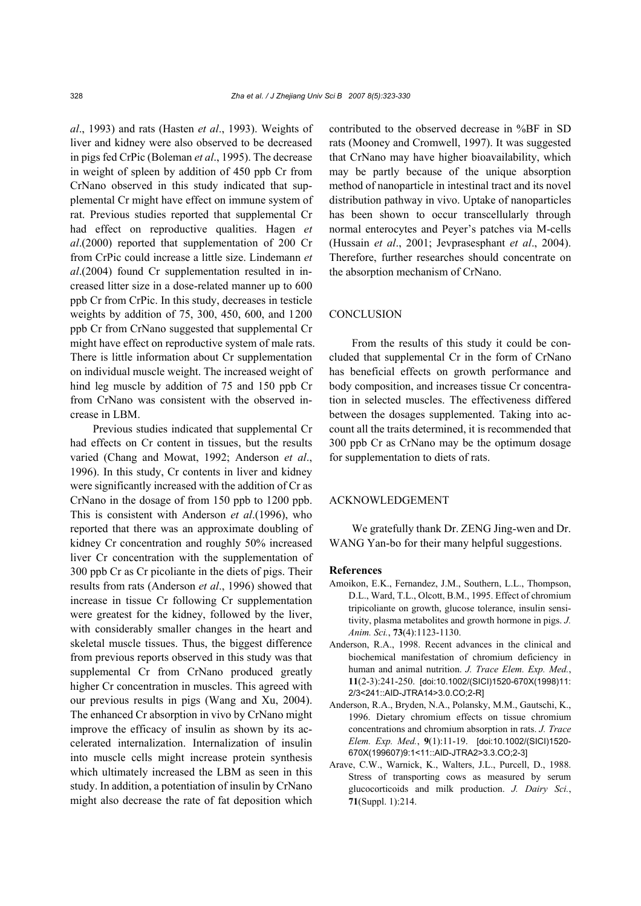*al*., 1993) and rats (Hasten *et al*., 1993). Weights of liver and kidney were also observed to be decreased in pigs fed CrPic (Boleman *et al*., 1995). The decrease in weight of spleen by addition of 450 ppb Cr from CrNano observed in this study indicated that supplemental Cr might have effect on immune system of rat. Previous studies reported that supplemental Cr had effect on reproductive qualities. Hagen *et al*.(2000) reported that supplementation of 200 Cr from CrPic could increase a little size. Lindemann *et al*.(2004) found Cr supplementation resulted in increased litter size in a dose-related manner up to 600 ppb Cr from CrPic. In this study, decreases in testicle weights by addition of 75, 300, 450, 600, and 1200 ppb Cr from CrNano suggested that supplemental Cr might have effect on reproductive system of male rats. There is little information about Cr supplementation on individual muscle weight. The increased weight of hind leg muscle by addition of 75 and 150 ppb Cr from CrNano was consistent with the observed increase in LBM.

Previous studies indicated that supplemental Cr had effects on Cr content in tissues, but the results varied (Chang and Mowat, 1992; Anderson *et al*., 1996). In this study, Cr contents in liver and kidney were significantly increased with the addition of Cr as CrNano in the dosage of from 150 ppb to 1200 ppb. This is consistent with Anderson *et al*.(1996), who reported that there was an approximate doubling of kidney Cr concentration and roughly 50% increased liver Cr concentration with the supplementation of 300 ppb Cr as Cr picoliante in the diets of pigs. Their results from rats (Anderson *et al*., 1996) showed that increase in tissue Cr following Cr supplementation were greatest for the kidney, followed by the liver, with considerably smaller changes in the heart and skeletal muscle tissues. Thus, the biggest difference from previous reports observed in this study was that supplemental Cr from CrNano produced greatly higher Cr concentration in muscles. This agreed with our previous results in pigs (Wang and Xu, 2004). The enhanced Cr absorption in vivo by CrNano might improve the efficacy of insulin as shown by its accelerated internalization. Internalization of insulin into muscle cells might increase protein synthesis which ultimately increased the LBM as seen in this study. In addition, a potentiation of insulin by CrNano might also decrease the rate of fat deposition which contributed to the observed decrease in %BF in SD rats (Mooney and Cromwell, 1997). It was suggested that CrNano may have higher bioavailability, which may be partly because of the unique absorption method of nanoparticle in intestinal tract and its novel distribution pathway in vivo. Uptake of nanoparticles has been shown to occur transcellularly through normal enterocytes and Peyer's patches via M-cells (Hussain *et al*., 2001; Jevprasesphant *et al*., 2004). Therefore, further researches should concentrate on the absorption mechanism of CrNano.

## **CONCLUSION**

From the results of this study it could be concluded that supplemental Cr in the form of CrNano has beneficial effects on growth performance and body composition, and increases tissue Cr concentration in selected muscles. The effectiveness differed between the dosages supplemented. Taking into account all the traits determined, it is recommended that 300 ppb Cr as CrNano may be the optimum dosage for supplementation to diets of rats.

#### ACKNOWLEDGEMENT

We gratefully thank Dr. ZENG Jing-wen and Dr. WANG Yan-bo for their many helpful suggestions.

## **References**

- Amoikon, E.K., Fernandez, J.M., Southern, L.L., Thompson, D.L., Ward, T.L., Olcott, B.M., 1995. Effect of chromium tripicoliante on growth, glucose tolerance, insulin sensitivity, plasma metabolites and growth hormone in pigs. *J. Anim. Sci.*, **73**(4):1123-1130.
- Anderson, R.A., 1998. Recent advances in the clinical and biochemical manifestation of chromium deficiency in human and animal nutrition. *J. Trace Elem. Exp. Med.*, **11**(2-3):241-250. [doi:10.1002/(SICI)1520-670X(1998)11: 2/3<241::AID-JTRA14>3.0.CO;2-R]
- Anderson, R.A., Bryden, N.A., Polansky, M.M., Gautschi, K., 1996. Dietary chromium effects on tissue chromium concentrations and chromium absorption in rats. *J. Trace Elem. Exp. Med.*, **9**(1):11-19. [doi:10.1002/(SICI)1520- 670X(199607)9:1<11::AID-JTRA2>3.3.CO;2-3]
- Arave, C.W., Warnick, K., Walters, J.L., Purcell, D., 1988. Stress of transporting cows as measured by serum glucocorticoids and milk production. *J. Dairy Sci.*, **71**(Suppl. 1):214.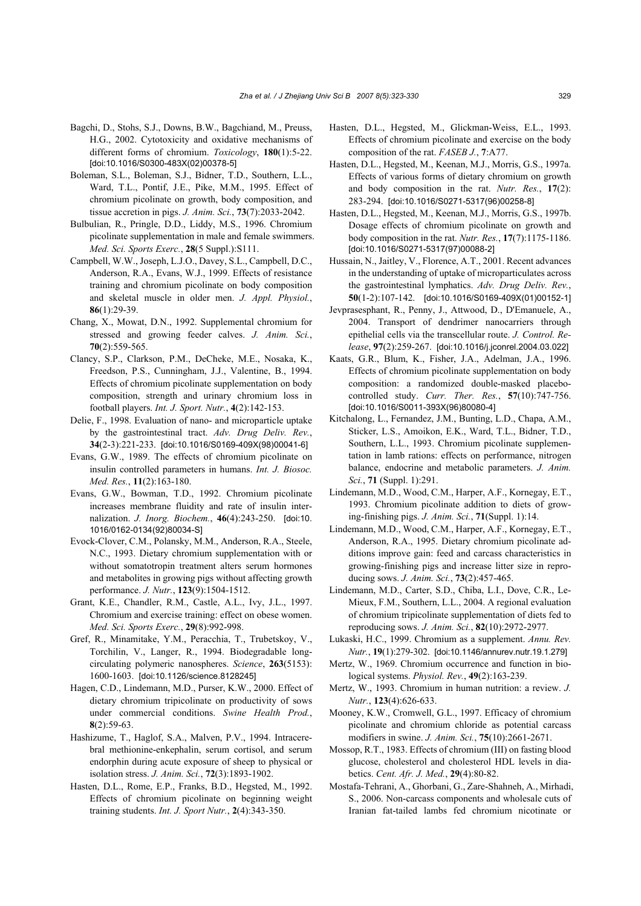- Bagchi, D., Stohs, S.J., Downs, B.W., Bagchiand, M., Preuss, H.G., 2002. Cytotoxicity and oxidative mechanisms of different forms of chromium. *Toxicology*, **180**(1):5-22. [doi:10.1016/S0300-483X(02)00378-5]
- Boleman, S.L., Boleman, S.J., Bidner, T.D., Southern, L.L., Ward, T.L., Pontif, J.E., Pike, M.M., 1995. Effect of chromium picolinate on growth, body composition, and tissue accretion in pigs. *J. Anim. Sci.*, **73**(7):2033-2042.
- Bulbulian, R., Pringle, D.D., Liddy, M.S., 1996. Chromium picolinate supplementation in male and female swimmers. *Med. Sci. Sports Exerc.*, **28**(5 Suppl.):S111.
- Campbell, W.W., Joseph, L.J.O., Davey, S.L., Campbell, D.C., Anderson, R.A., Evans, W.J., 1999. Effects of resistance training and chromium picolinate on body composition and skeletal muscle in older men. *J. Appl. Physiol.*, **86**(1):29-39.
- Chang, X., Mowat, D.N., 1992. Supplemental chromium for stressed and growing feeder calves. *J. Anim. Sci.*, **70**(2):559-565.
- Clancy, S.P., Clarkson, P.M., DeCheke, M.E., Nosaka, K., Freedson, P.S., Cunningham, J.J., Valentine, B., 1994. Effects of chromium picolinate supplementation on body composition, strength and urinary chromium loss in football players. *Int. J. Sport. Nutr.*, **4**(2):142-153.
- Delie, F., 1998. Evaluation of nano- and microparticle uptake by the gastrointestinal tract. *Adv. Drug Deliv. Rev.*, **34**(2-3):221-233. [doi:10.1016/S0169-409X(98)00041-6]
- Evans, G.W., 1989. The effects of chromium picolinate on insulin controlled parameters in humans. *Int. J. Biosoc. Med. Res.*, **11**(2):163-180.
- Evans, G.W., Bowman, T.D., 1992. Chromium picolinate increases membrane fluidity and rate of insulin internalization. *J. Inorg. Biochem.*, **46**(4):243-250. [doi:10. 1016/0162-0134(92)80034-S]
- Evock-Clover, C.M., Polansky, M.M., Anderson, R.A., Steele, N.C., 1993. Dietary chromium supplementation with or without somatotropin treatment alters serum hormones and metabolites in growing pigs without affecting growth performance. *J. Nutr.*, **123**(9):1504-1512.
- Grant, K.E., Chandler, R.M., Castle, A.L., Ivy, J.L., 1997. Chromium and exercise training: effect on obese women. *Med. Sci. Sports Exerc.*, **29**(8):992-998.
- Gref, R., Minamitake, Y.M., Peracchia, T., Trubetskoy, V., Torchilin, V., Langer, R., 1994. Biodegradable longcirculating polymeric nanospheres. *Science*, **263**(5153): 1600-1603. [doi:10.1126/science.8128245]
- Hagen, C.D., Lindemann, M.D., Purser, K.W., 2000. Effect of dietary chromium tripicolinate on productivity of sows under commercial conditions. *Swine Health Prod.*, **8**(2):59-63.
- Hashizume, T., Haglof, S.A., Malven, P.V., 1994. Intracerebral methionine-enkephalin, serum cortisol, and serum endorphin during acute exposure of sheep to physical or isolation stress. *J. Anim. Sci.*, **72**(3):1893-1902.
- Hasten, D.L., Rome, E.P., Franks, B.D., Hegsted, M., 1992. Effects of chromium picolinate on beginning weight training students. *Int. J. Sport Nutr.*, **2**(4):343-350.
- Hasten, D.L., Hegsted, M., Glickman-Weiss, E.L., 1993. Effects of chromium picolinate and exercise on the body composition of the rat. *FASEB J.*, **7**:A77.
- Hasten, D.L., Hegsted, M., Keenan, M.J., Morris, G.S., 1997a. Effects of various forms of dietary chromium on growth and body composition in the rat. *Nutr. Res.*, **17**(2): 283-294. [doi:10.1016/S0271-5317(96)00258-8]
- Hasten, D.L., Hegsted, M., Keenan, M.J., Morris, G.S., 1997b. Dosage effects of chromium picolinate on growth and body composition in the rat. *Nutr. Res.*, **17**(7):1175-1186. [doi:10.1016/S0271-5317(97)00088-2]
- Hussain, N., Jaitley, V., Florence, A.T., 2001. Recent advances in the understanding of uptake of microparticulates across the gastrointestinal lymphatics. *Adv. Drug Deliv. Rev.*, **50**(1-2):107-142. [doi:10.1016/S0169-409X(01)00152-1]
- Jevprasesphant, R., Penny, J., Attwood, D., D'Emanuele, A., 2004. Transport of dendrimer nanocarriers through epithelial cells via the transcellular route. *J. Control. Release*, **97**(2):259-267. [doi:10.1016/j.jconrel.2004.03.022]
- Kaats, G.R., Blum, K., Fisher, J.A., Adelman, J.A., 1996. Effects of chromium picolinate supplementation on body composition: a randomized double-masked placebocontrolled study. *Curr. Ther. Res.*, **57**(10):747-756. [doi:10.1016/S0011-393X(96)80080-4]
- Kitchalong, L., Fernandez, J.M., Bunting, L.D., Chapa, A.M., Sticker, L.S., Amoikon, E.K., Ward, T.L., Bidner, T.D., Southern, L.L., 1993. Chromium picolinate supplementation in lamb rations: effects on performance, nitrogen balance, endocrine and metabolic parameters. *J. Anim. Sci.*, **71** (Suppl. 1):291.
- Lindemann, M.D., Wood, C.M., Harper, A.F., Kornegay, E.T., 1993. Chromium picolinate addition to diets of growing-finishing pigs. *J. Anim. Sci.*, **71**(Suppl. 1):14.
- Lindemann, M.D., Wood, C.M., Harper, A.F., Kornegay, E.T., Anderson, R.A., 1995. Dietary chromium picolinate additions improve gain: feed and carcass characteristics in growing-finishing pigs and increase litter size in reproducing sows. *J. Anim. Sci.*, **73**(2):457-465.
- Lindemann, M.D., Carter, S.D., Chiba, L.I., Dove, C.R., Le-Mieux, F.M., Southern, L.L., 2004. A regional evaluation of chromium tripicolinate supplementation of diets fed to reproducing sows. *J. Anim. Sci.*, **82**(10):2972-2977.
- Lukaski, H.C., 1999. Chromium as a supplement. *Annu. Rev. Nutr.*, **19**(1):279-302. [doi:10.1146/annurev.nutr.19.1.279]
- Mertz, W., 1969. Chromium occurrence and function in biological systems. *Physiol. Rev.*, **49**(2):163-239.
- Mertz, W., 1993. Chromium in human nutrition: a review. *J. Nutr.*, **123**(4):626-633.
- Mooney, K.W., Cromwell, G.L., 1997. Efficacy of chromium picolinate and chromium chloride as potential carcass modifiers in swine. *J. Anim. Sci.*, **75**(10):2661-2671.
- Mossop, R.T., 1983. Effects of chromium (III) on fasting blood glucose, cholesterol and cholesterol HDL levels in diabetics. *Cent. Afr. J. Med.*, **29**(4):80-82.
- Mostafa-Tehrani, A., Ghorbani, G., Zare-Shahneh, A., Mirhadi, S., 2006. Non-carcass components and wholesale cuts of Iranian fat-tailed lambs fed chromium nicotinate or